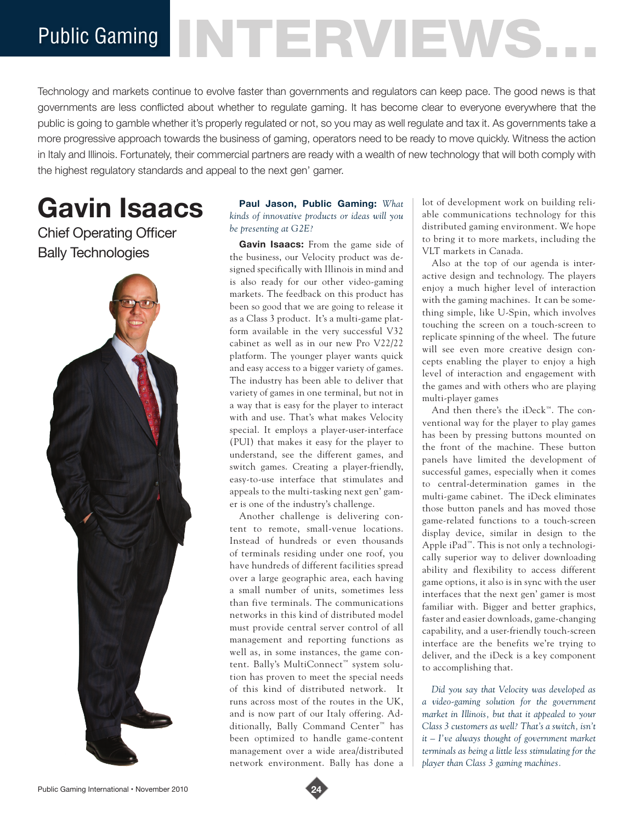Public Gaming NTERVEWS.

Technology and markets continue to evolve faster than governments and regulators can keep pace. The good news is that governments are less conflicted about whether to regulate gaming. It has become clear to everyone everywhere that the public is going to gamble whether it's properly regulated or not, so you may as well regulate and tax it. As governments take a more progressive approach towards the business of gaming, operators need to be ready to move quickly. Witness the action in Italy and Illinois. Fortunately, their commercial partners are ready with a wealth of new technology that will both comply with the highest regulatory standards and appeal to the next gen' gamer.

# **Gavin Isaacs**

## Chief Operating Officer Bally Technologies



### **Paul Jason, Public Gaming:** *What kinds of innovative products or ideas will you be presenting at G2E?*

**Gavin Isaacs:** From the game side of the business, our Velocity product was designed specifically with Illinois in mind and is also ready for our other video-gaming markets. The feedback on this product has been so good that we are going to release it as a Class 3 product. It's a multi-game platform available in the very successful V32 cabinet as well as in our new Pro V22/22 platform. The younger player wants quick and easy access to a bigger variety of games. The industry has been able to deliver that variety of games in one terminal, but not in a way that is easy for the player to interact with and use. That's what makes Velocity special. It employs a player-user-interface (PUI) that makes it easy for the player to understand, see the different games, and switch games. Creating a player-friendly, easy-to-use interface that stimulates and appeals to the multi-tasking next gen' gamer is one of the industry's challenge.

Another challenge is delivering content to remote, small-venue locations. Instead of hundreds or even thousands of terminals residing under one roof, you have hundreds of different facilities spread over a large geographic area, each having a small number of units, sometimes less than five terminals. The communications networks in this kind of distributed model must provide central server control of all management and reporting functions as well as, in some instances, the game content. Bally's MultiConnect™ system solution has proven to meet the special needs of this kind of distributed network. It runs across most of the routes in the UK, and is now part of our Italy offering. Additionally, Bally Command Center™ has been optimized to handle game-content management over a wide area/distributed network environment. Bally has done a

lot of development work on building reliable communications technology for this distributed gaming environment. We hope to bring it to more markets, including the VLT markets in Canada.

Also at the top of our agenda is interactive design and technology. The players enjoy a much higher level of interaction with the gaming machines. It can be something simple, like U-Spin, which involves touching the screen on a touch-screen to replicate spinning of the wheel. The future will see even more creative design concepts enabling the player to enjoy a high level of interaction and engagement with the games and with others who are playing multi-player games

And then there's the iDeck™. The conventional way for the player to play games has been by pressing buttons mounted on the front of the machine. These button panels have limited the development of successful games, especially when it comes to central-determination games in the multi-game cabinet. The iDeck eliminates those button panels and has moved those game-related functions to a touch-screen display device, similar in design to the Apple iPad™. This is not only a technologically superior way to deliver downloading ability and flexibility to access different game options, it also is in sync with the user interfaces that the next gen' gamer is most familiar with. Bigger and better graphics, faster and easier downloads, game-changing capability, and a user-friendly touch-screen interface are the benefits we're trying to deliver, and the iDeck is a key component to accomplishing that.

*Did you say that Velocity was developed as a video-gaming solution for the government market in Illinois, but that it appealed to your Class 3 customers as well? That's a switch, isn't it – I've always thought of government market terminals as being a little less stimulating for the player than Class 3 gaming machines.*

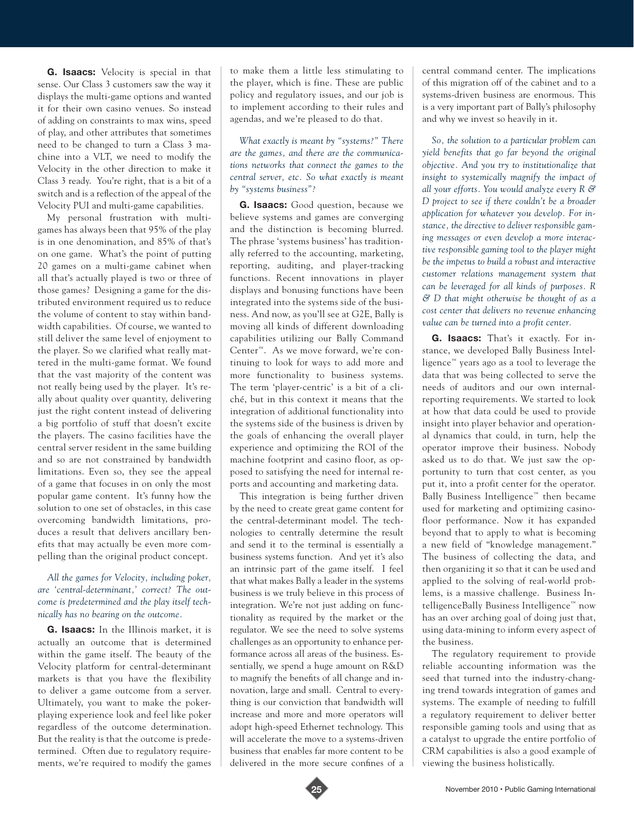**G. Isaacs:** Velocity is special in that sense. Our Class 3 customers saw the way it displays the multi-game options and wanted it for their own casino venues. So instead of adding on constraints to max wins, speed of play, and other attributes that sometimes need to be changed to turn a Class 3 machine into a VLT, we need to modify the Velocity in the other direction to make it Class 3 ready. You're right, that is a bit of a switch and is a reflection of the appeal of the Velocity PUI and multi-game capabilities.

My personal frustration with multigames has always been that 95% of the play is in one denomination, and 85% of that's on one game. What's the point of putting 20 games on a multi-game cabinet when all that's actually played is two or three of those games? Designing a game for the distributed environment required us to reduce the volume of content to stay within bandwidth capabilities. Of course, we wanted to still deliver the same level of enjoyment to the player. So we clarified what really mattered in the multi-game format. We found that the vast majority of the content was not really being used by the player. It's really about quality over quantity, delivering just the right content instead of delivering a big portfolio of stuff that doesn't excite the players. The casino facilities have the central server resident in the same building and so are not constrained by bandwidth limitations. Even so, they see the appeal of a game that focuses in on only the most popular game content. It's funny how the solution to one set of obstacles, in this case overcoming bandwidth limitations, produces a result that delivers ancillary benefits that may actually be even more compelling than the original product concept.

#### *All the games for Velocity, including poker, are 'central-determinant,' correct? The outcome is predetermined and the play itself technically has no bearing on the outcome.*

**G. Isaacs:** In the Illinois market, it is actually an outcome that is determined within the game itself. The beauty of the Velocity platform for central-determinant markets is that you have the flexibility to deliver a game outcome from a server. Ultimately, you want to make the pokerplaying experience look and feel like poker regardless of the outcome determination. But the reality is that the outcome is predetermined. Often due to regulatory requirements, we're required to modify the games

to make them a little less stimulating to the player, which is fine. These are public policy and regulatory issues, and our job is to implement according to their rules and agendas, and we're pleased to do that.

*What exactly is meant by "systems?" There are the games, and there are the communications networks that connect the games to the central server, etc. So what exactly is meant by "systems business"?*

**G. Isaacs:** Good question, because we believe systems and games are converging and the distinction is becoming blurred. The phrase 'systems business' has traditionally referred to the accounting, marketing, reporting, auditing, and player-tracking functions. Recent innovations in player displays and bonusing functions have been integrated into the systems side of the business. And now, as you'll see at G2E, Bally is moving all kinds of different downloading capabilities utilizing our Bally Command Center™. As we move forward, we're continuing to look for ways to add more and more functionality to business systems. The term 'player-centric' is a bit of a cliché, but in this context it means that the integration of additional functionality into the systems side of the business is driven by the goals of enhancing the overall player experience and optimizing the ROI of the machine footprint and casino floor, as opposed to satisfying the need for internal reports and accounting and marketing data.

This integration is being further driven by the need to create great game content for the central-determinant model. The technologies to centrally determine the result and send it to the terminal is essentially a business systems function. And yet it's also an intrinsic part of the game itself. I feel that what makes Bally a leader in the systems business is we truly believe in this process of integration. We're not just adding on functionality as required by the market or the regulator. We see the need to solve systems challenges as an opportunity to enhance performance across all areas of the business. Essentially, we spend a huge amount on R&D to magnify the benefits of all change and innovation, large and small. Central to everything is our conviction that bandwidth will increase and more and more operators will adopt high-speed Ethernet technology. This will accelerate the move to a systems-driven business that enables far more content to be delivered in the more secure confines of a

central command center. The implications of this migration off of the cabinet and to a systems-driven business are enormous. This is a very important part of Bally's philosophy and why we invest so heavily in it.

*So, the solution to a particular problem can yield benefits that go far beyond the original objective. And you try to institutionalize that insight to systemically magnify the impact of all your efforts. You would analyze every R & D project to see if there couldn't be a broader application for whatever you develop. For instance, the directive to deliver responsible gaming messages or even develop a more interactive responsible gaming tool to the player might be the impetus to build a robust and interactive customer relations management system that can be leveraged for all kinds of purposes. R & D that might otherwise be thought of as a cost center that delivers no revenue enhancing value can be turned into a profit center.*

**G. Isaacs:** That's it exactly. For instance, we developed Bally Business Intelligence™ years ago as a tool to leverage the data that was being collected to serve the needs of auditors and our own internalreporting requirements. We started to look at how that data could be used to provide insight into player behavior and operational dynamics that could, in turn, help the operator improve their business. Nobody asked us to do that. We just saw the opportunity to turn that cost center, as you put it, into a profit center for the operator. Bally Business Intelligence™ then became used for marketing and optimizing casinofloor performance. Now it has expanded beyond that to apply to what is becoming a new field of "knowledge management." The business of collecting the data, and then organizing it so that it can be used and applied to the solving of real-world problems, is a massive challenge. Business IntelligenceBally Business Intelligence™ now has an over arching goal of doing just that, using data-mining to inform every aspect of the business.

The regulatory requirement to provide reliable accounting information was the seed that turned into the industry-changing trend towards integration of games and systems. The example of needing to fulfill a regulatory requirement to deliver better responsible gaming tools and using that as a catalyst to upgrade the entire portfolio of CRM capabilities is also a good example of viewing the business holistically.

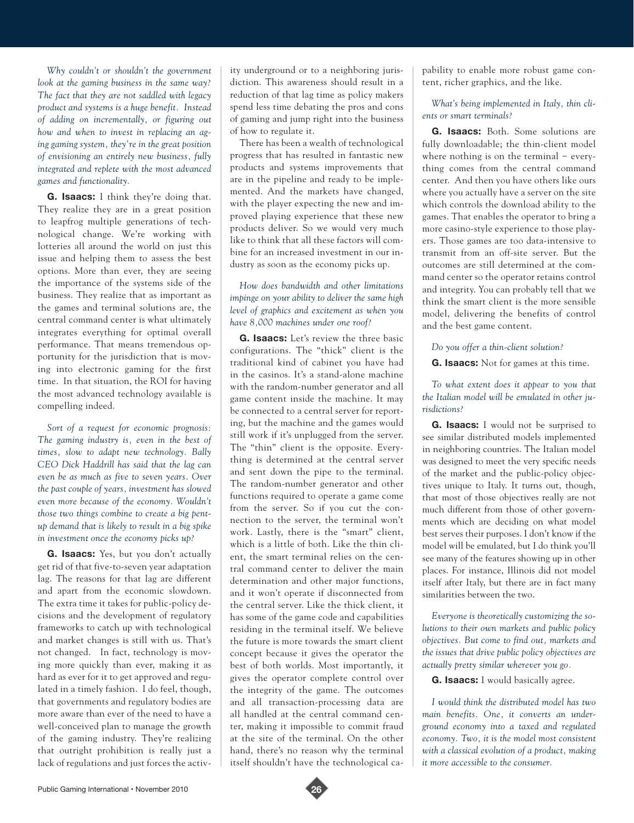*Why couldn't or shouldn't the government look at the gaming business in the same way? The fact that they are not saddled with legacy product and systems is a huge benefit. Instead of adding on incrementally, or figuring out how and when to invest in replacing an aging gaming system, they're in the great position of envisioning an entirely new business, fully integrated and replete with the most advanced games and functionality.*

**G. Isaacs:** I think they're doing that. They realize they are in a great position to leapfrog multiple generations of technological change. We're working with lotteries all around the world on just this issue and helping them to assess the best options. More than ever, they are seeing the importance of the systems side of the business. They realize that as important as the games and terminal solutions are, the central command center is what ultimately integrates everything for optimal overall performance. That means tremendous opportunity for the jurisdiction that is moving into electronic gaming for the first time. In that situation, the ROI for having the most advanced technology available is compelling indeed.

*Sort of a request for economic prognosis: The gaming industry is, even in the best of times, slow to adapt new technology. Bally CEO Dick Haddrill has said that the lag can even be as much as five to seven years. Over the past couple of years, investment has slowed even more because of the economy. Wouldn't those two things combine to create a big pentup demand that is likely to result in a big spike in investment once the economy picks up?*

**G. Isaacs:** Yes, but you don't actually get rid of that five-to-seven year adaptation lag. The reasons for that lag are different and apart from the economic slowdown. The extra time it takes for public-policy decisions and the development of regulatory frameworks to catch up with technological and market changes is still with us. That's not changed. In fact, technology is moving more quickly than ever, making it as hard as ever for it to get approved and regulated in a timely fashion. I do feel, though, that governments and regulatory bodies are more aware than ever of the need to have a well-conceived plan to manage the growth of the gaming industry. They're realizing that outright prohibition is really just a lack of regulations and just forces the activ-

ity underground or to a neighboring jurisdiction. This awareness should result in a reduction of that lag time as policy makers spend less time debating the pros and cons of gaming and jump right into the business of how to regulate it.

There has been a wealth of technological progress that has resulted in fantastic new products and systems improvements that are in the pipeline and ready to be implemented. And the markets have changed, with the player expecting the new and improved playing experience that these new products deliver. So we would very much like to think that all these factors will combine for an increased investment in our industry as soon as the economy picks up.

#### *How does bandwidth and other limitations impinge on your ability to deliver the same high level of graphics and excitement as when you have 8,000 machines under one roof?*

**G. Isaacs:** Let's review the three basic configurations. The "thick" client is the traditional kind of cabinet you have had in the casinos. It's a stand-alone machine with the random-number generator and all game content inside the machine. It may be connected to a central server for reporting, but the machine and the games would still work if it's unplugged from the server. The "thin" client is the opposite. Everything is determined at the central server and sent down the pipe to the terminal. The random-number generator and other functions required to operate a game come from the server. So if you cut the connection to the server, the terminal won't work. Lastly, there is the "smart" client, which is a little of both. Like the thin client, the smart terminal relies on the central command center to deliver the main determination and other major functions, and it won't operate if disconnected from the central server. Like the thick client, it has some of the game code and capabilities residing in the terminal itself. We believe the future is more towards the smart client concept because it gives the operator the best of both worlds. Most importantly, it gives the operator complete control over the integrity of the game. The outcomes and all transaction-processing data are all handled at the central command center, making it impossible to commit fraud at the site of the terminal. On the other hand, there's no reason why the terminal itself shouldn't have the technological capability to enable more robust game content, richer graphics, and the like.

#### *What's being implemented in Italy, thin clients or smart terminals?*

**G. Isaacs:** Both. Some solutions are fully downloadable; the thin-client model where nothing is on the terminal − everything comes from the central command center. And then you have others like ours where you actually have a server on the site which controls the download ability to the games. That enables the operator to bring a more casino-style experience to those players. Those games are too data-intensive to transmit from an off-site server. But the outcomes are still determined at the command center so the operator retains control and integrity. You can probably tell that we think the smart client is the more sensible model, delivering the benefits of control and the best game content.

#### *Do you offer a thin-client solution?*

**G. Isaacs:** Not for games at this time.

*To what extent does it appear to you that the Italian model will be emulated in other jurisdictions?*

**G. Isaacs:** I would not be surprised to see similar distributed models implemented in neighboring countries. The Italian model was designed to meet the very specific needs of the market and the public-policy objectives unique to Italy. It turns out, though, that most of those objectives really are not much different from those of other governments which are deciding on what model best serves their purposes. I don't know if the model will be emulated, but I do think you'll see many of the features showing up in other places. For instance, Illinois did not model itself after Italy, but there are in fact many similarities between the two.

*Everyone is theoretically customizing the solutions to their own markets and public policy objectives. But come to find out, markets and the issues that drive public policy objectives are actually pretty similar wherever you go.*

**G. Isaacs:** I would basically agree.

*I would think the distributed model has two main benefits. One, it converts an underground economy into a taxed and regulated economy. Two, it is the model most consistent with a classical evolution of a product, making it more accessible to the consumer.*